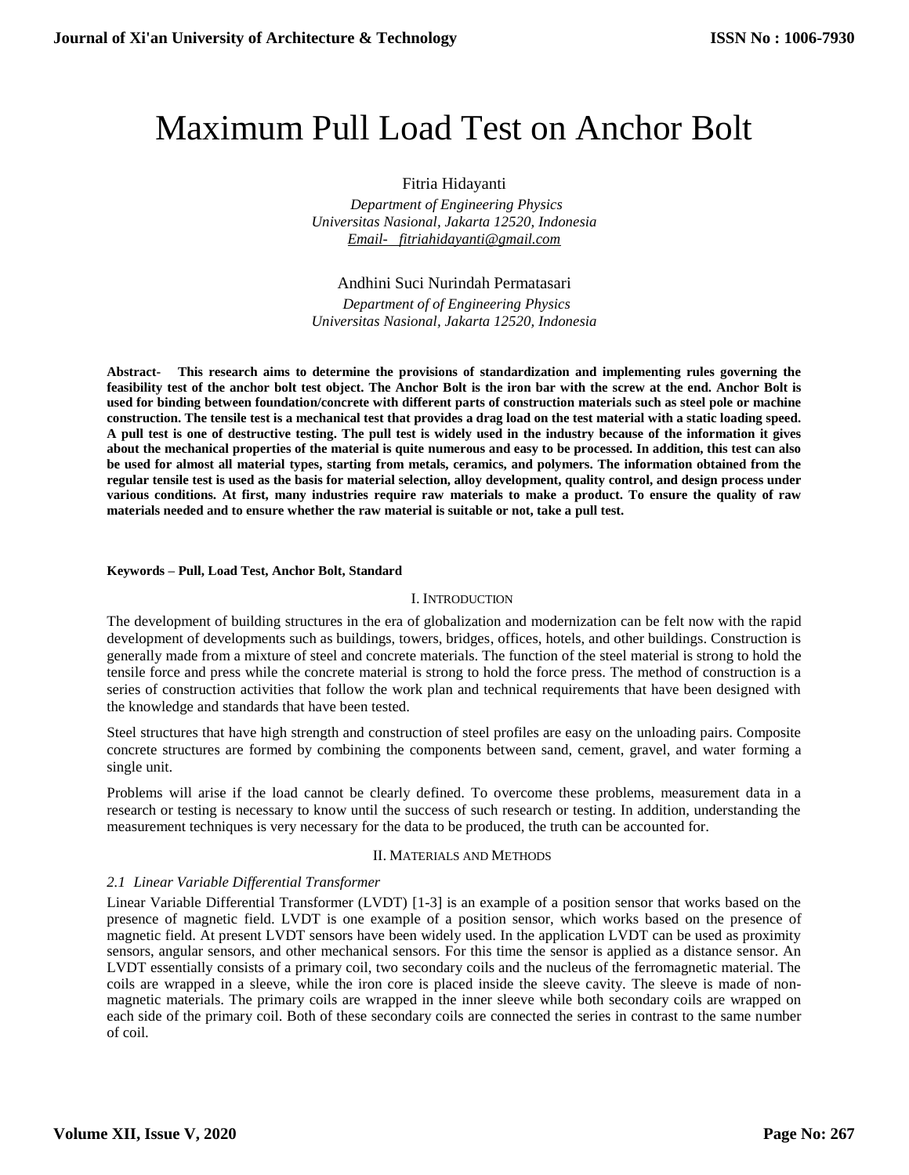# Maximum Pull Load Test on Anchor Bolt

Fitria Hidayanti

 *Department of Engineering Physics Universitas Nasional, Jakarta 12520, Indonesia [Email- fitriahidayanti@gmail.com](mailto:Email-%20%20%20fitriahidayanti@gmail.com)*

# Andhini Suci Nurindah Permatasari

 *Department of of Engineering Physics Universitas Nasional, Jakarta 12520, Indonesia*

**Abstract- This research aims to determine the provisions of standardization and implementing rules governing the feasibility test of the anchor bolt test object. The Anchor Bolt is the iron bar with the screw at the end. Anchor Bolt is used for binding between foundation/concrete with different parts of construction materials such as steel pole or machine construction. The tensile test is a mechanical test that provides a drag load on the test material with a static loading speed. A pull test is one of destructive testing. The pull test is widely used in the industry because of the information it gives about the mechanical properties of the material is quite numerous and easy to be processed. In addition, this test can also be used for almost all material types, starting from metals, ceramics, and polymers. The information obtained from the regular tensile test is used as the basis for material selection, alloy development, quality control, and design process under various conditions. At first, many industries require raw materials to make a product. To ensure the quality of raw materials needed and to ensure whether the raw material is suitable or not, take a pull test.**

#### **Keywords – Pull, Load Test, Anchor Bolt, Standard**

## I. INTRODUCTION

The development of building structures in the era of globalization and modernization can be felt now with the rapid development of developments such as buildings, towers, bridges, offices, hotels, and other buildings. Construction is generally made from a mixture of steel and concrete materials. The function of the steel material is strong to hold the tensile force and press while the concrete material is strong to hold the force press. The method of construction is a series of construction activities that follow the work plan and technical requirements that have been designed with the knowledge and standards that have been tested.

Steel structures that have high strength and construction of steel profiles are easy on the unloading pairs. Composite concrete structures are formed by combining the components between sand, cement, gravel, and water forming a single unit.

Problems will arise if the load cannot be clearly defined. To overcome these problems, measurement data in a research or testing is necessary to know until the success of such research or testing. In addition, understanding the measurement techniques is very necessary for the data to be produced, the truth can be accounted for.

## II. MATERIALS AND METHODS

## *2.1 Linear Variable Differential Transformer*

Linear Variable Differential Transformer (LVDT) [1-3] is an example of a position sensor that works based on the presence of magnetic field. LVDT is one example of a position sensor, which works based on the presence of magnetic field. At present LVDT sensors have been widely used. In the application LVDT can be used as proximity sensors, angular sensors, and other mechanical sensors. For this time the sensor is applied as a distance sensor. An LVDT essentially consists of a primary coil, two secondary coils and the nucleus of the ferromagnetic material. The coils are wrapped in a sleeve, while the iron core is placed inside the sleeve cavity. The sleeve is made of nonmagnetic materials. The primary coils are wrapped in the inner sleeve while both secondary coils are wrapped on each side of the primary coil. Both of these secondary coils are connected the series in contrast to the same number of coil.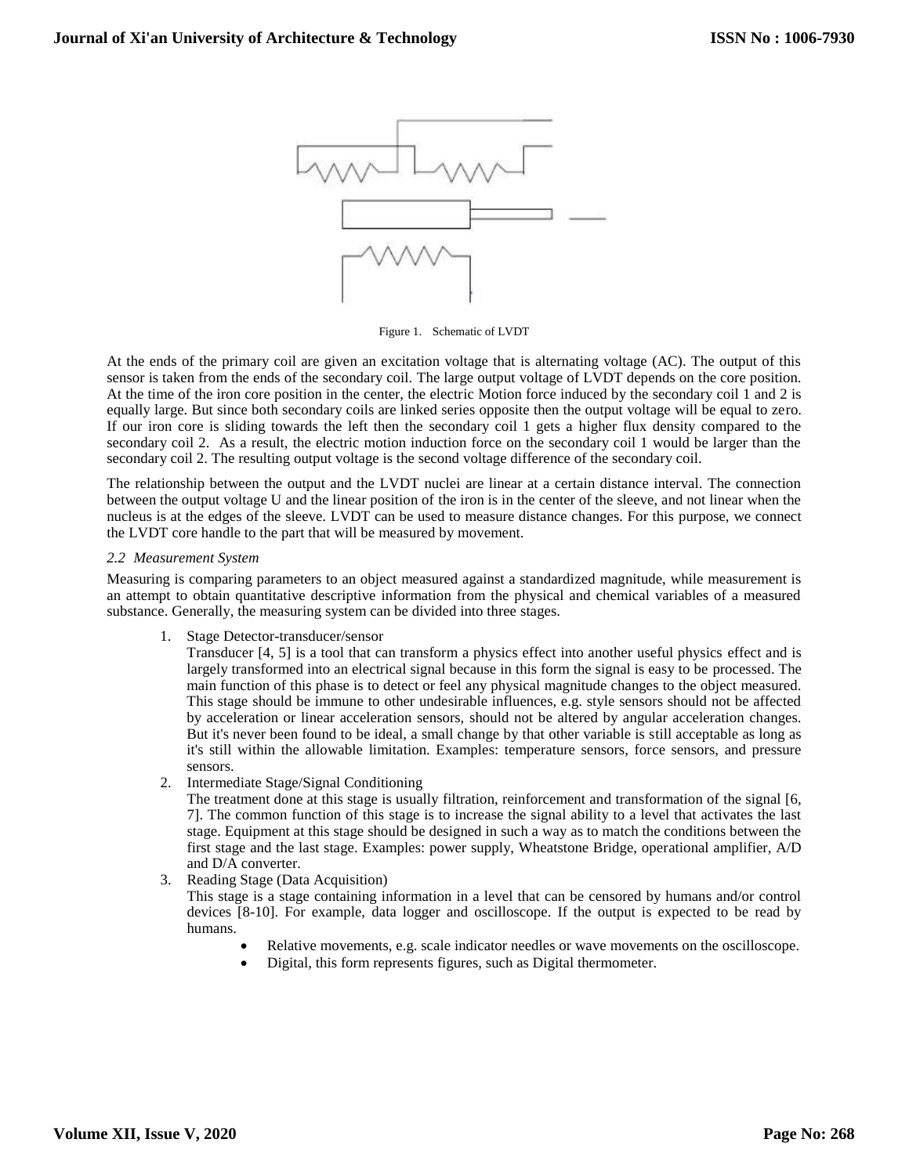

Figure 1. Schematic of LVDT

At the ends of the primary coil are given an excitation voltage that is alternating voltage (AC). The output of this sensor is taken from the ends of the secondary coil. The large output voltage of LVDT depends on the core position. At the time of the iron core position in the center, the electric Motion force induced by the secondary coil 1 and 2 is equally large. But since both secondary coils are linked series opposite then the output voltage will be equal to zero. If our iron core is sliding towards the left then the secondary coil 1 gets a higher flux density compared to the secondary coil 2. As a result, the electric motion induction force on the secondary coil 1 would be larger than the secondary coil 2. The resulting output voltage is the second voltage difference of the secondary coil.

The relationship between the output and the LVDT nuclei are linear at a certain distance interval. The connection between the output voltage U and the linear position of the iron is in the center of the sleeve, and not linear when the nucleus is at the edges of the sleeve. LVDT can be used to measure distance changes. For this purpose, we connect the LVDT core handle to the part that will be measured by movement.

#### *2.2 Measurement System*

Measuring is comparing parameters to an object measured against a standardized magnitude, while measurement is an attempt to obtain quantitative descriptive information from the physical and chemical variables of a measured substance. Generally, the measuring system can be divided into three stages.

1. Stage Detector-transducer/sensor

Transducer [4, 5] is a tool that can transform a physics effect into another useful physics effect and is largely transformed into an electrical signal because in this form the signal is easy to be processed. The main function of this phase is to detect or feel any physical magnitude changes to the object measured. This stage should be immune to other undesirable influences, e.g. style sensors should not be affected by acceleration or linear acceleration sensors, should not be altered by angular acceleration changes. But it's never been found to be ideal, a small change by that other variable is still acceptable as long as it's still within the allowable limitation. Examples: temperature sensors, force sensors, and pressure sensors.

2. Intermediate Stage/Signal Conditioning

The treatment done at this stage is usually filtration, reinforcement and transformation of the signal [6, 7]. The common function of this stage is to increase the signal ability to a level that activates the last stage. Equipment at this stage should be designed in such a way as to match the conditions between the first stage and the last stage. Examples: power supply, Wheatstone Bridge, operational amplifier, A/D and D/A converter.

3. Reading Stage (Data Acquisition)

This stage is a stage containing information in a level that can be censored by humans and/or control devices [8-10]. For example, data logger and oscilloscope. If the output is expected to be read by humans.

- Relative movements, e.g. scale indicator needles or wave movements on the oscilloscope.
- Digital, this form represents figures, such as Digital thermometer.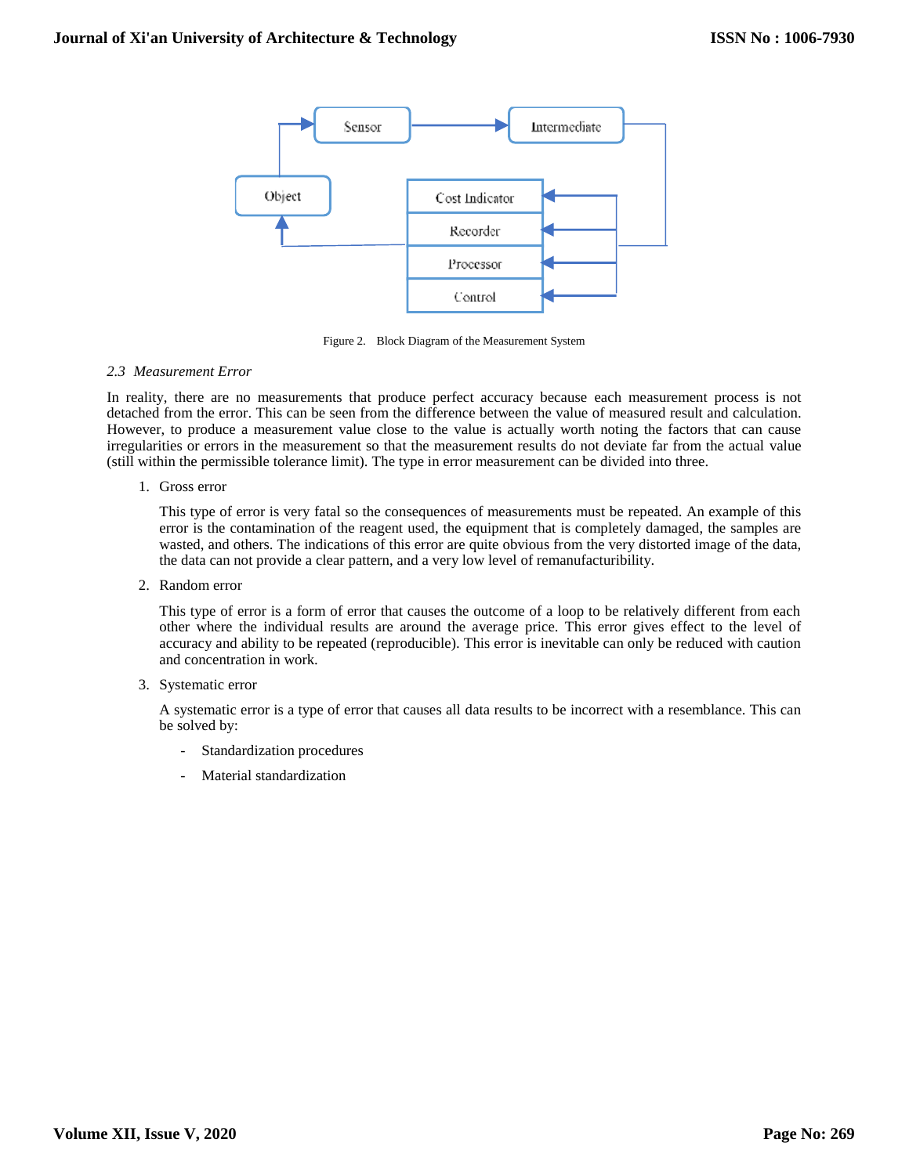

Figure 2. Block Diagram of the Measurement System

# *2.3 Measurement Error*

In reality, there are no measurements that produce perfect accuracy because each measurement process is not detached from the error. This can be seen from the difference between the value of measured result and calculation. However, to produce a measurement value close to the value is actually worth noting the factors that can cause irregularities or errors in the measurement so that the measurement results do not deviate far from the actual value (still within the permissible tolerance limit). The type in error measurement can be divided into three.

# 1. Gross error

This type of error is very fatal so the consequences of measurements must be repeated. An example of this error is the contamination of the reagent used, the equipment that is completely damaged, the samples are wasted, and others. The indications of this error are quite obvious from the very distorted image of the data, the data can not provide a clear pattern, and a very low level of remanufacturibility.

2. Random error

This type of error is a form of error that causes the outcome of a loop to be relatively different from each other where the individual results are around the average price. This error gives effect to the level of accuracy and ability to be repeated (reproducible). This error is inevitable can only be reduced with caution and concentration in work.

## 3. Systematic error

A systematic error is a type of error that causes all data results to be incorrect with a resemblance. This can be solved by:

- Standardization procedures
- Material standardization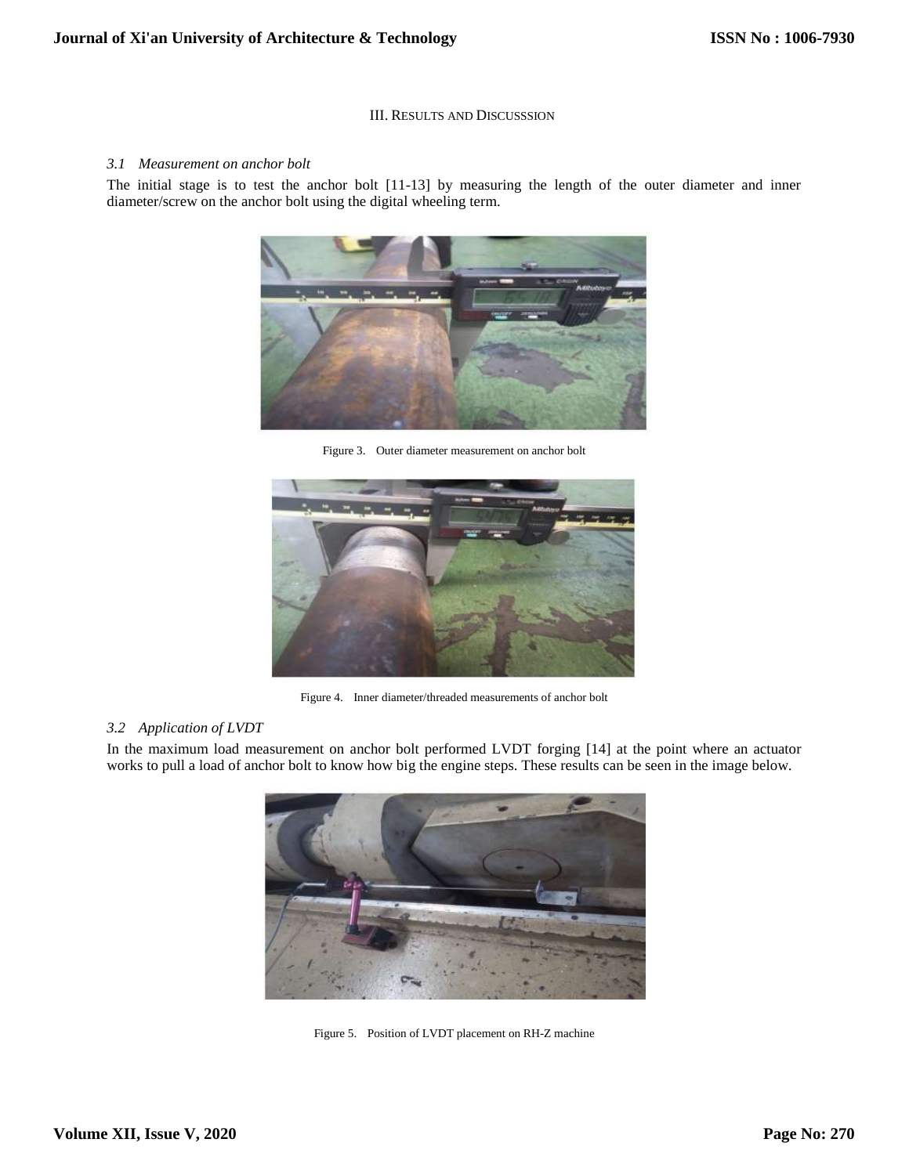## III. RESULTS AND DISCUSSSION

#### *3.1 Measurement on anchor bolt*

The initial stage is to test the anchor bolt [11-13] by measuring the length of the outer diameter and inner diameter/screw on the anchor bolt using the digital wheeling term.



Figure 3. Outer diameter measurement on anchor bolt



Figure 4. Inner diameter/threaded measurements of anchor bolt

# *3.2 Application of LVDT*

In the maximum load measurement on anchor bolt performed LVDT forging [14] at the point where an actuator works to pull a load of anchor bolt to know how big the engine steps. These results can be seen in the image below.



Figure 5. Position of LVDT placement on RH-Z machine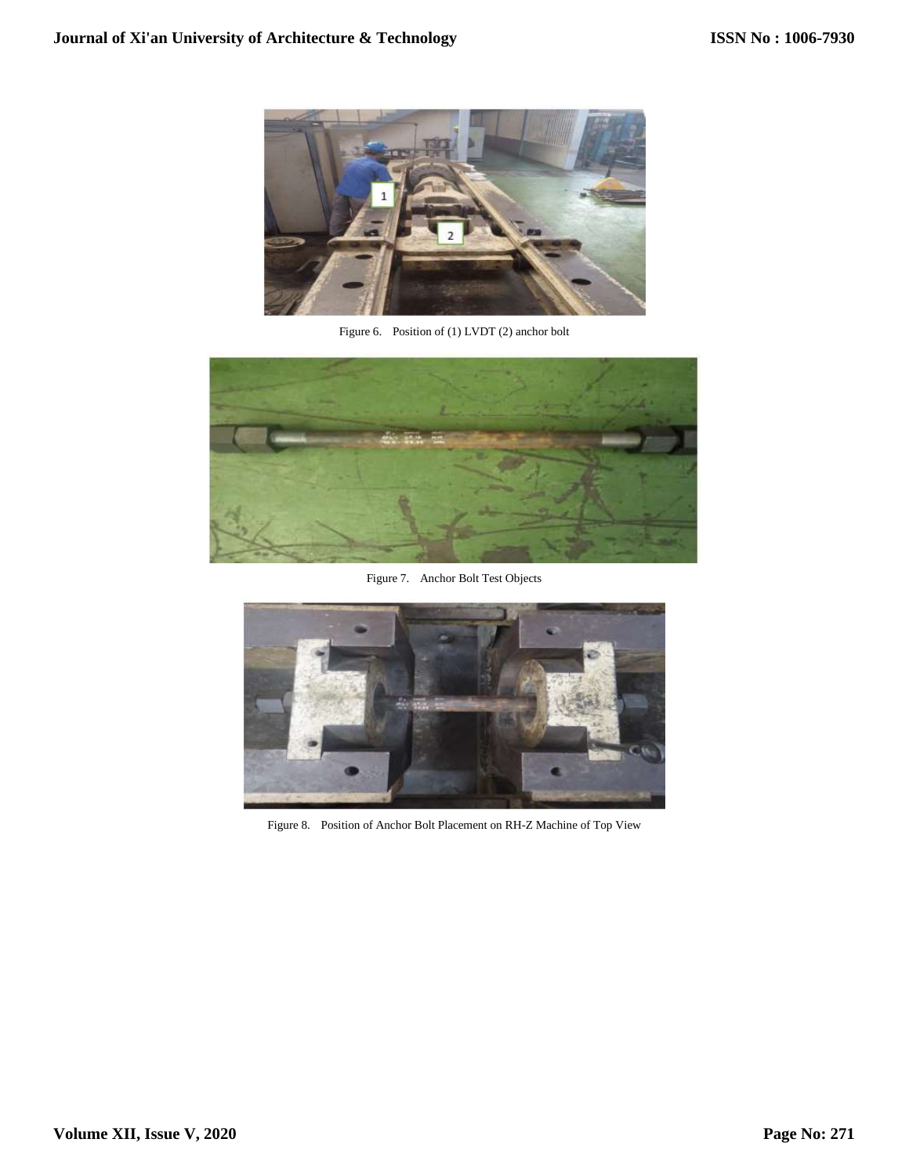

Figure 6. Position of (1) LVDT (2) anchor bolt



Figure 7. Anchor Bolt Test Objects



Figure 8. Position of Anchor Bolt Placement on RH-Z Machine of Top View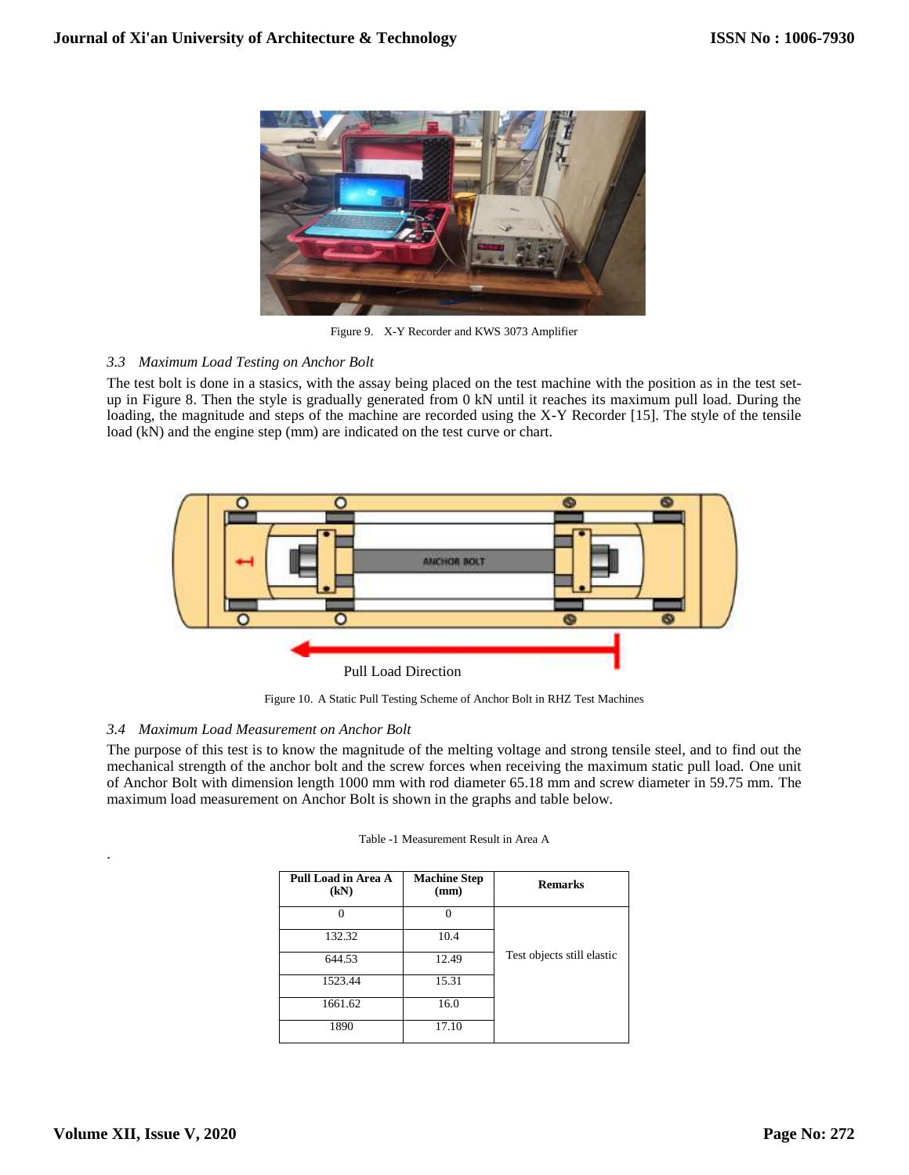

Figure 9. X-Y Recorder and KWS 3073 Amplifier

# *3.3 Maximum Load Testing on Anchor Bolt*

The test bolt is done in a stasics, with the assay being placed on the test machine with the position as in the test setup in Figure 8. Then the style is gradually generated from 0 kN until it reaches its maximum pull load. During the loading, the magnitude and steps of the machine are recorded using the X-Y Recorder [15]. The style of the tensile load (kN) and the engine step (mm) are indicated on the test curve or chart.



Figure 10. A Static Pull Testing Scheme of Anchor Bolt in RHZ Test Machines

# *3.4 Maximum Load Measurement on Anchor Bolt*

The purpose of this test is to know the magnitude of the melting voltage and strong tensile steel, and to find out the mechanical strength of the anchor bolt and the screw forces when receiving the maximum static pull load. One unit of Anchor Bolt with dimension length 1000 mm with rod diameter 65.18 mm and screw diameter in 59.75 mm. The maximum load measurement on Anchor Bolt is shown in the graphs and table below.

| Pull Load in Area A<br>(kN) | <b>Machine Step</b><br>(mm) | <b>Remarks</b>             |
|-----------------------------|-----------------------------|----------------------------|
|                             |                             |                            |
| 132.32                      | 10.4                        |                            |
| 644.53                      | 12.49                       | Test objects still elastic |
| 1523.44                     | 15.31                       |                            |
| 1661.62                     | 16.0                        |                            |
| 1890                        | 17.10                       |                            |

|  | Table -1 Measurement Result in Area A |  |  |
|--|---------------------------------------|--|--|
|--|---------------------------------------|--|--|

.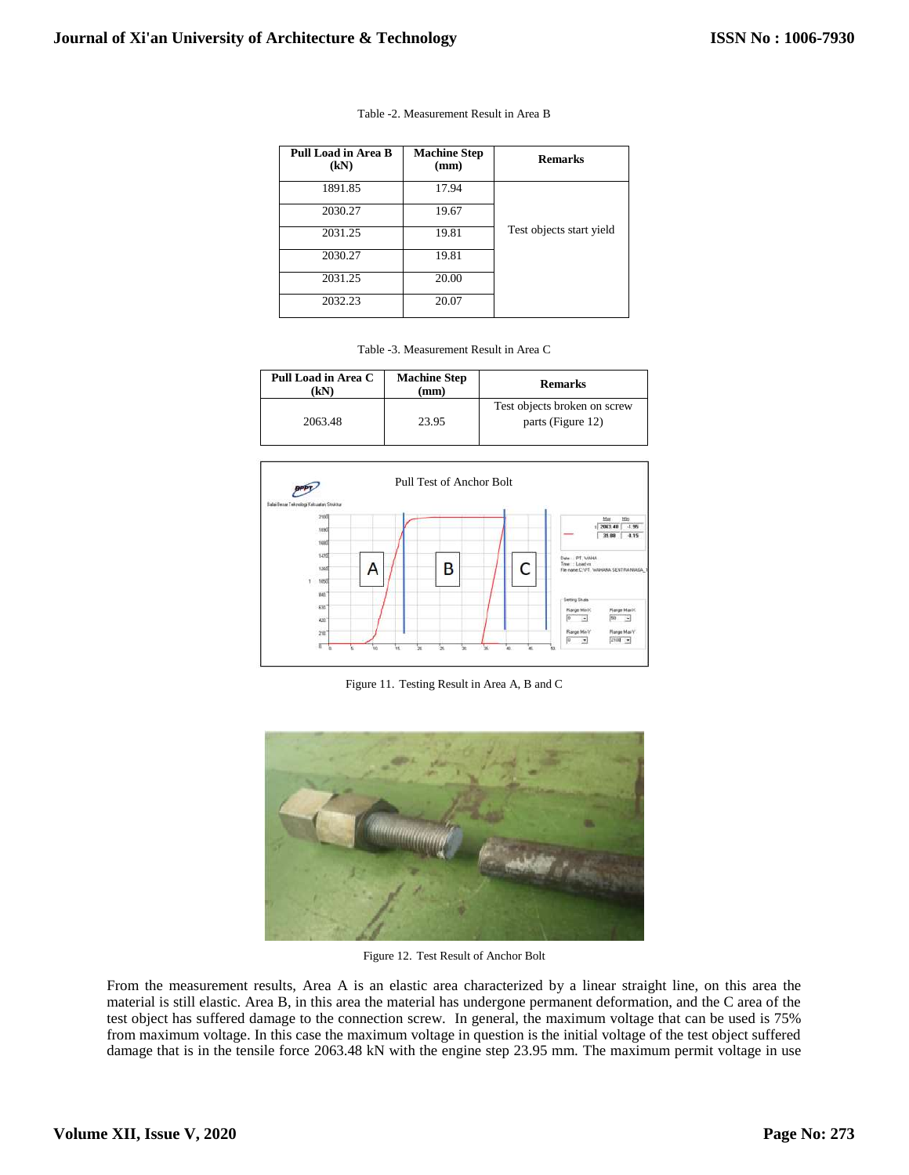| Pull Load in Area B<br>(kN) | <b>Machine Step</b><br>(mm) | <b>Remarks</b>           |
|-----------------------------|-----------------------------|--------------------------|
| 1891.85                     | 17.94                       |                          |
| 2030.27                     | 19.67                       |                          |
| 2031.25                     | 19.81                       | Test objects start yield |
| 2030.27                     | 19.81                       |                          |
| 2031.25                     | 20.00                       |                          |
| 2032.23                     | 20.07                       |                          |

| Table -2. Measurement Result in Area B |  |
|----------------------------------------|--|
|----------------------------------------|--|

| Table -3. Measurement Result in Area C |
|----------------------------------------|
|----------------------------------------|

| Pull Load in Area C<br>'kΝ | <b>Machine Step</b><br>$(\mathbf{mm})$ | <b>Remarks</b>                                    |
|----------------------------|----------------------------------------|---------------------------------------------------|
| 2063.48                    | 23.95                                  | Test objects broken on screw<br>parts (Figure 12) |



Figure 11. Testing Result in Area A, B and C



Figure 12. Test Result of Anchor Bolt

From the measurement results, Area A is an elastic area characterized by a linear straight line, on this area the material is still elastic. Area B, in this area the material has undergone permanent deformation, and the C area of the test object has suffered damage to the connection screw. In general, the maximum voltage that can be used is 75% from maximum voltage. In this case the maximum voltage in question is the initial voltage of the test object suffered damage that is in the tensile force 2063.48 kN with the engine step 23.95 mm. The maximum permit voltage in use